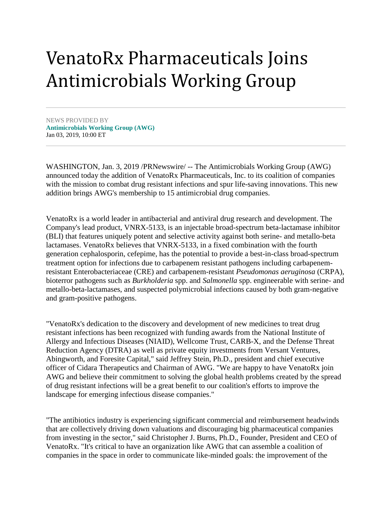## VenatoRx Pharmaceuticals Joins Antimicrobials Working Group

NEWS PROVIDED BY **[Antimicrobials Working Group \(AWG\)](https://www.prnewswire.com/news/Antimicrobials+Working+Group+%28AWG%29)** Jan 03, 2019, 10:00 ET

WASHINGTON, Jan. 3, 2019 /PRNewswire/ -- The Antimicrobials Working Group (AWG) announced today the addition of VenatoRx Pharmaceuticals, Inc. to its coalition of companies with the mission to combat drug resistant infections and spur life-saving innovations. This new addition brings AWG's membership to 15 antimicrobial drug companies.

VenatoRx is a world leader in antibacterial and antiviral drug research and development. The Company's lead product, VNRX-5133, is an injectable broad-spectrum beta-lactamase inhibitor (BLI) that features uniquely potent and selective activity against both serine- and metallo-beta lactamases. VenatoRx believes that VNRX-5133, in a fixed combination with the fourth generation cephalosporin, cefepime, has the potential to provide a best-in-class broad-spectrum treatment option for infections due to carbapenem resistant pathogens including carbapenemresistant Enterobacteriaceae (CRE) and carbapenem-resistant *Pseudomonas aeruginosa* (CRPA), bioterror pathogens such as *Burkholderia* spp. and *Salmonella* spp. engineerable with serine- and metallo-beta-lactamases, and suspected polymicrobial infections caused by both gram-negative and gram-positive pathogens.

"VenatoRx's dedication to the discovery and development of new medicines to treat drug resistant infections has been recognized with funding awards from the National Institute of Allergy and Infectious Diseases (NIAID), Wellcome Trust, CARB-X, and the Defense Threat Reduction Agency (DTRA) as well as private equity investments from Versant Ventures, Abingworth, and Foresite Capital," said Jeffrey Stein, Ph.D., president and chief executive officer of Cidara Therapeutics and Chairman of AWG. "We are happy to have VenatoRx join AWG and believe their commitment to solving the global health problems created by the spread of drug resistant infections will be a great benefit to our coalition's efforts to improve the landscape for emerging infectious disease companies."

"The antibiotics industry is experiencing significant commercial and reimbursement headwinds that are collectively driving down valuations and discouraging big pharmaceutical companies from investing in the sector," said Christopher J. Burns, Ph.D., Founder, President and CEO of VenatoRx. "It's critical to have an organization like AWG that can assemble a coalition of companies in the space in order to communicate like-minded goals: the improvement of the